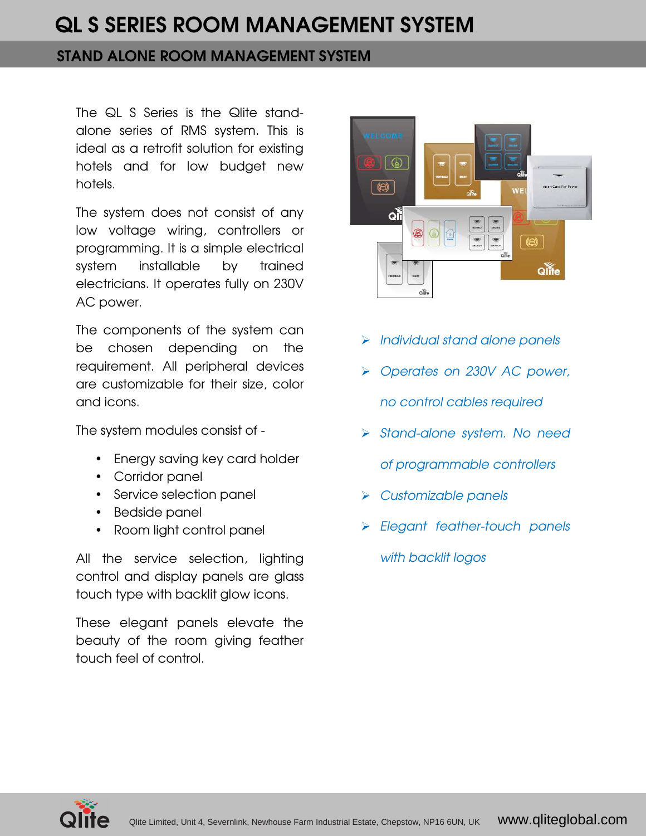### STAND ALONE ROOM MANAGEMENT SYSTEM

The QL S Series is the Qlite standalone series of RMS system. This is ideal as a retrofit solution for existing hotels and for low budget new hotels.

The system does not consist of any low voltage wiring, controllers or programming. It is a simple electrical system installable by trained electricians. It operates fully on 230V AC power.

The components of the system can be chosen depending on the requirement. All peripheral devices are customizable for their size, color and icons.

The system modules consist of -

- Energy saving key card holder
- Corridor panel
- Service selection panel
- Bedside panel
- Room light control panel

All the service selection, lighting control and display panels are glass touch type with backlit glow icons.

These elegant panels elevate the beauty of the room giving feather touch feel of control.



- > Individual stand alone panels
- ▶ Operates on 230V AC power, no control cables required
- > Stand-alone system. No need of programmable controllers
- $\triangleright$  Customizable panels
- > Elegant feather-touch panels

with backlit logos

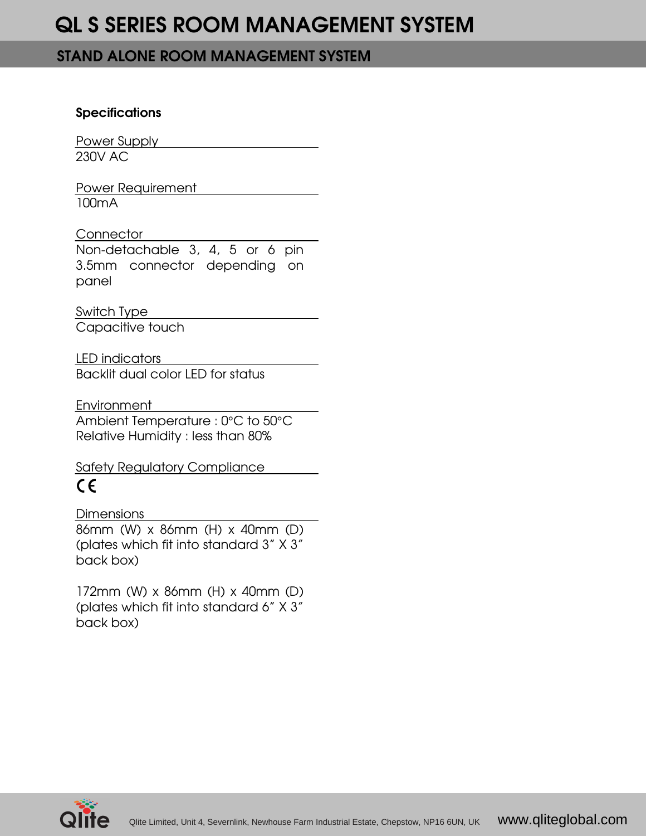#### STAND ALONE ROOM MANAGEMENT SYSTEM

#### **Specifications**

Power Supply 230V AC

Power Requirement 100mA

### **Connector**

Non-detachable 3, 4, 5 or 6 pin 3.5mm connector depending on panel

Switch Type

Capacitive touch

LED indicators Backlit dual color LED for status

Environment Ambient Temperature : 0°C to 50°C Relative Humidity : less than 80%

Safety Regulatory Compliance  $\epsilon$ 

**Dimensions** 

86mm (W) x 86mm (H) x 40mm (D) (plates which fit into standard 3" X 3" back box)

172mm (W) x 86mm (H) x 40mm (D) (plates which fit into standard 6" X 3" back box)

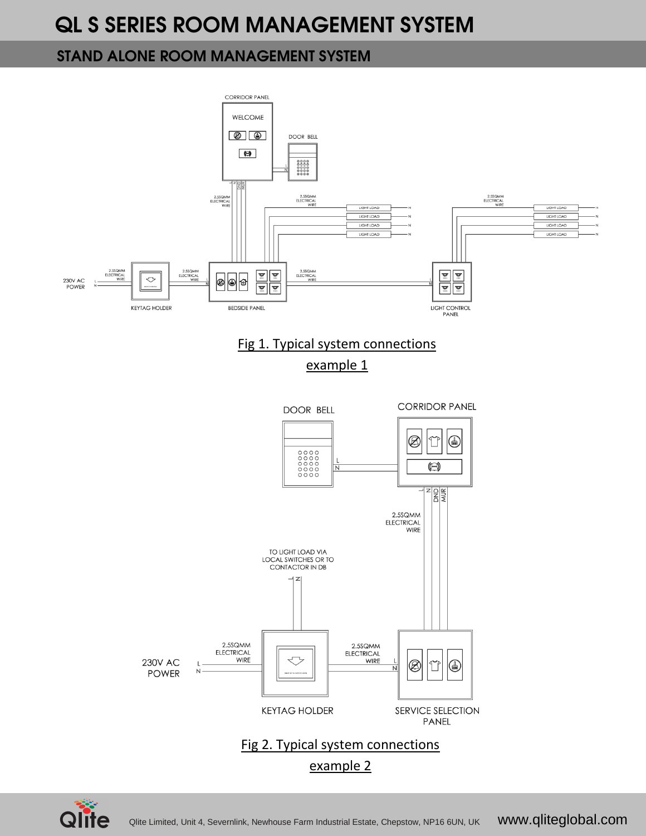### STAND ALONE ROOM MANAGEMENT SYSTEM